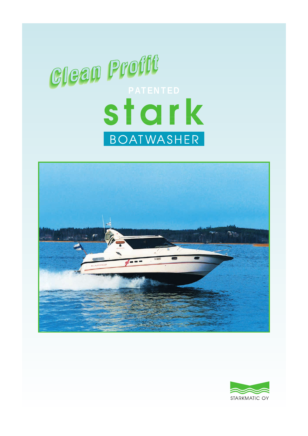## **Clean Profit** BOATWASHER



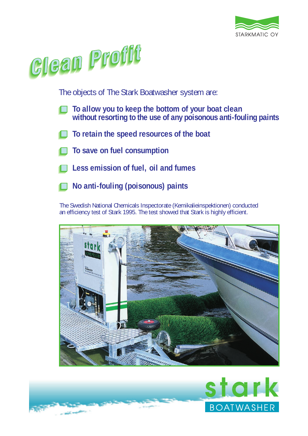



The objects of The Stark Boatwasher system are:

- **To allow you to keep the bottom of your boat clean without resorting to the use of any poisonous anti-fouling paints**
- **To retain the speed resources of the boat**
- **To save on fuel consumption**
- **Less emission of fuel, oil and fumes**
- **No anti-fouling (poisonous) paints**

The Swedish National Chemicals Inspectorate (Kemikalieinspektionen) conducted an efficiency test of Stark 1995. The test showed that Stark is highly efficient.



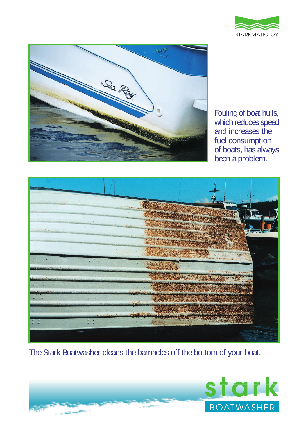



Fouling of boat hulls, which reduces speed and increases the fuel consumption of boats, has always been a problem.



The Stark Boatwasher cleans the barnacles off the bottom of your boat.